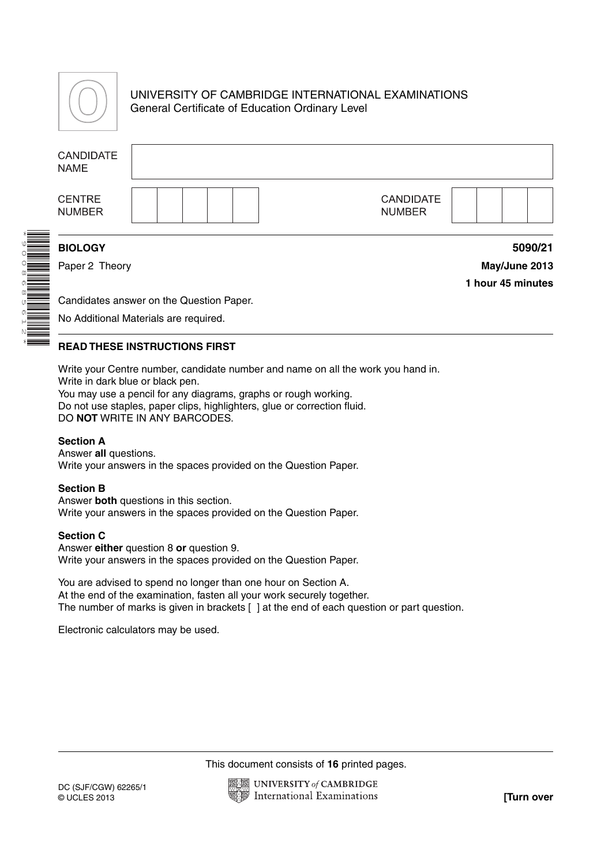

UNIVERSITY OF CAMBRIDGE INTERNATIONAL EXAMINATIONS General Certificate of Education Ordinary Level

| <b>CANDIDATE</b><br><b>NAME</b> |                                          |                   |
|---------------------------------|------------------------------------------|-------------------|
| <b>CENTRE</b><br><b>NUMBER</b>  | <b>CANDIDATE</b><br><b>NUMBER</b>        |                   |
| <b>BIOLOGY</b>                  |                                          | 5090/21           |
| Paper 2 Theory                  |                                          | May/June 2013     |
|                                 |                                          | 1 hour 45 minutes |
|                                 | Candidates answer on the Question Paper. |                   |
|                                 | No Additional Materials are required.    |                   |

\*9008685612\*

# **READ THESE INSTRUCTIONS FIRST**

Write your Centre number, candidate number and name on all the work you hand in. Write in dark blue or black pen.

You may use a pencil for any diagrams, graphs or rough working. Do not use staples, paper clips, highlighters, glue or correction fluid. DO **NOT** WRITE IN ANY BARCODES.

## **Section A**

Answer **all** questions. Write your answers in the spaces provided on the Question Paper.

### **Section B**

Answer **both** questions in this section. Write your answers in the spaces provided on the Question Paper.

### **Section C**

Answer **either** question 8 **or** question 9. Write your answers in the spaces provided on the Question Paper.

You are advised to spend no longer than one hour on Section A. At the end of the examination, fasten all your work securely together. The number of marks is given in brackets [ ] at the end of each question or part question.

Electronic calculators may be used.

This document consists of **16** printed pages.

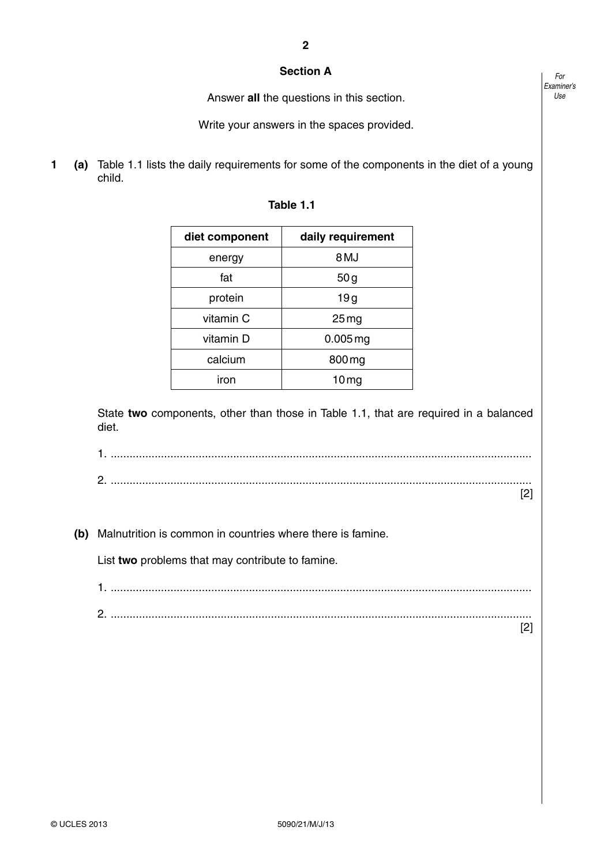## **Section A**

Answer **all** the questions in this section.

Write your answers in the spaces provided.

**1 (a)** Table 1.1 lists the daily requirements for some of the components in the diet of a young child.

| diet component | daily requirement |
|----------------|-------------------|
| energy         | 8 MJ              |
| fat            | 50g               |
| protein        | 19g               |
| vitamin C      | 25 <sub>mg</sub>  |
| vitamin D      | $0.005$ mg        |
| calcium        | 800 mg            |
| iron           | 10 <sub>mg</sub>  |

State **two** components, other than those in Table 1.1, that are required in a balanced diet.

1. ...................................................................................................................................... 2. ......................................................................................................................................

[2]

 **(b)** Malnutrition is common in countries where there is famine.

List **two** problems that may contribute to famine.

1. ...................................................................................................................................... 2. ......................................................................................................................................

[2]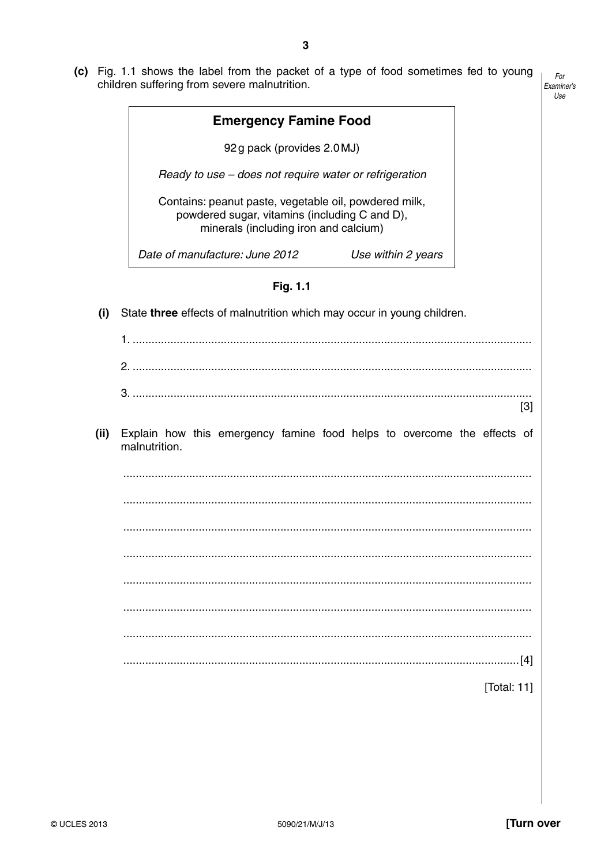(c) Fig. 1.1 shows the label from the packet of a type of food sometimes fed to young children suffering from severe malnutrition.

|      | <b>Emergency Famine Food</b>                                                                                                                    |                |
|------|-------------------------------------------------------------------------------------------------------------------------------------------------|----------------|
|      |                                                                                                                                                 |                |
|      | 92g pack (provides 2.0 MJ)                                                                                                                      |                |
|      | Ready to use - does not require water or refrigeration                                                                                          |                |
|      | Contains: peanut paste, vegetable oil, powdered milk,<br>powdered sugar, vitamins (including C and D),<br>minerals (including iron and calcium) |                |
|      | Date of manufacture: June 2012<br>Use within 2 years                                                                                            |                |
|      | Fig. 1.1                                                                                                                                        |                |
| (i)  | State three effects of malnutrition which may occur in young children.                                                                          |                |
|      |                                                                                                                                                 |                |
|      |                                                                                                                                                 |                |
|      |                                                                                                                                                 |                |
|      |                                                                                                                                                 | $[3]$          |
| (ii) | Explain how this emergency famine food helps to overcome the effects of<br>malnutrition.                                                        |                |
|      |                                                                                                                                                 |                |
|      |                                                                                                                                                 |                |
|      |                                                                                                                                                 |                |
|      |                                                                                                                                                 |                |
|      |                                                                                                                                                 |                |
|      |                                                                                                                                                 |                |
|      |                                                                                                                                                 |                |
|      |                                                                                                                                                 |                |
|      |                                                                                                                                                 | . [4]          |
|      |                                                                                                                                                 | [Total: $11$ ] |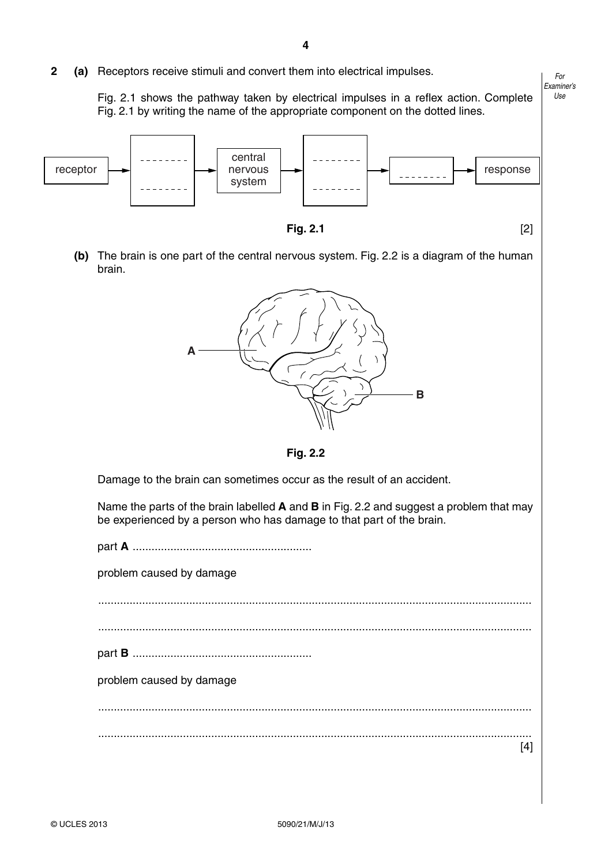**2 (a)** Receptors receive stimuli and convert them into electrical impulses.

Fig. 2.1 shows the pathway taken by electrical impulses in a reflex action. Complete Fig. 2.1 by writing the name of the appropriate component on the dotted lines.

*For Examiner's Use*



**Fig. 2.1** [2]

 **(b)** The brain is one part of the central nervous system. Fig. 2.2 is a diagram of the human brain.



**Fig. 2.2**

Damage to the brain can sometimes occur as the result of an accident.

Name the parts of the brain labelled **A** and **B** in Fig. 2.2 and suggest a problem that may be experienced by a person who has damage to that part of the brain.

part **A** ......................................................... problem caused by damage .......................................................................................................................................... .......................................................................................................................................... part **B** ......................................................... problem caused by damage .......................................................................................................................................... .......................................................................................................................................... [4]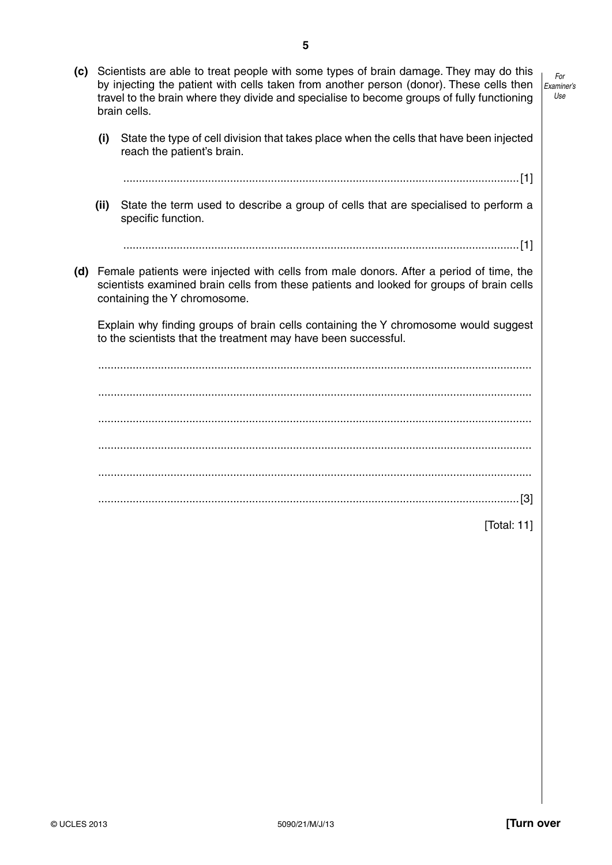*Examiner's Use*

*For*

- **(c)** Scientists are able to treat people with some types of brain damage. They may do this by injecting the patient with cells taken from another person (donor). These cells then travel to the brain where they divide and specialise to become groups of fully functioning brain cells.
	- **(i)** State the type of cell division that takes place when the cells that have been injected reach the patient's brain.

..............................................................................................................................[1]

 **(ii)** State the term used to describe a group of cells that are specialised to perform a specific function.

..............................................................................................................................[1]

 **(d)** Female patients were injected with cells from male donors. After a period of time, the scientists examined brain cells from these patients and looked for groups of brain cells containing the Y chromosome.

Explain why finding groups of brain cells containing the Y chromosome would suggest to the scientists that the treatment may have been successful.

 .......................................................................................................................................... .......................................................................................................................................... .......................................................................................................................................... .......................................................................................................................................... .......................................................................................................................................... ......................................................................................................................................[3]

[Total: 11]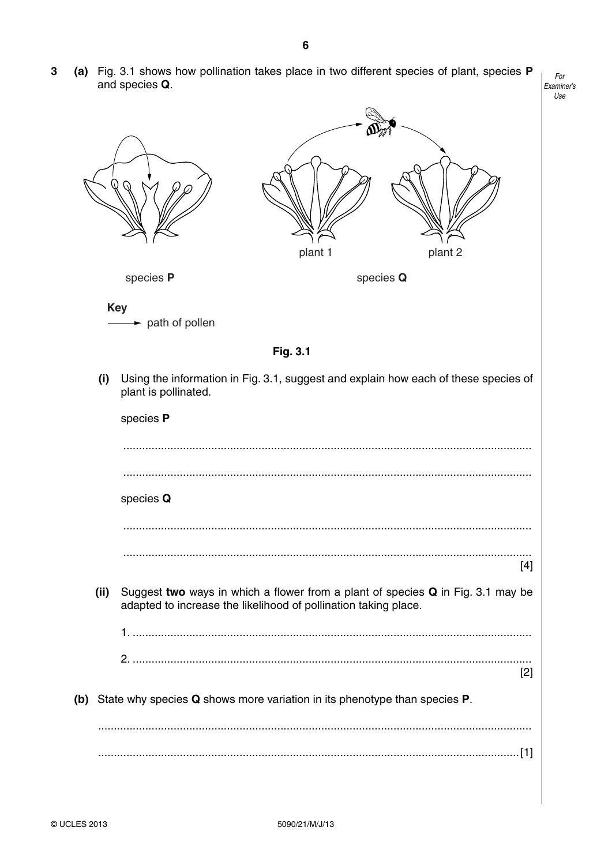(a) Fig. 3.1 shows how pollination takes place in two different species of plant, species P  $\mathbf 3$ and species Q.

| plant 1<br>plant 2                                                                                                                                         |       |
|------------------------------------------------------------------------------------------------------------------------------------------------------------|-------|
| species P<br>species Q                                                                                                                                     |       |
| <b>Key</b><br>$\rightarrow$ path of pollen                                                                                                                 |       |
| Fig. 3.1                                                                                                                                                   |       |
| (i)<br>Using the information in Fig. 3.1, suggest and explain how each of these species of<br>plant is pollinated.                                         |       |
| species P                                                                                                                                                  |       |
|                                                                                                                                                            |       |
|                                                                                                                                                            |       |
| species Q                                                                                                                                                  |       |
|                                                                                                                                                            |       |
|                                                                                                                                                            | $[4]$ |
| Suggest two ways in which a flower from a plant of species Q in Fig. 3.1 may be<br>(ii)<br>adapted to increase the likelihood of pollination taking place. |       |
|                                                                                                                                                            |       |
|                                                                                                                                                            | $[2]$ |
| (b) State why species Q shows more variation in its phenotype than species P.                                                                              |       |
|                                                                                                                                                            |       |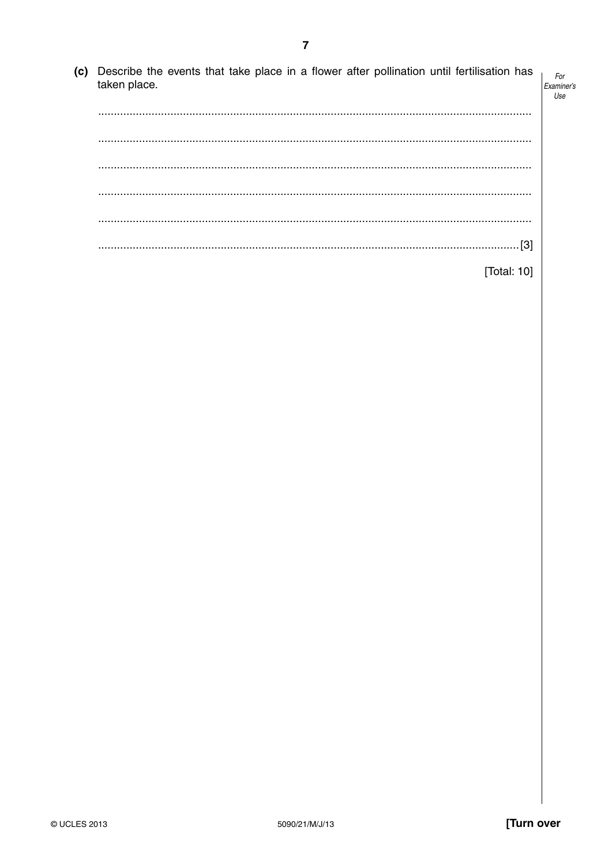(c) Describe the events that take place in a flower after pollination until fertilisation has taken place. Examiner's [Total: 10]

For

Use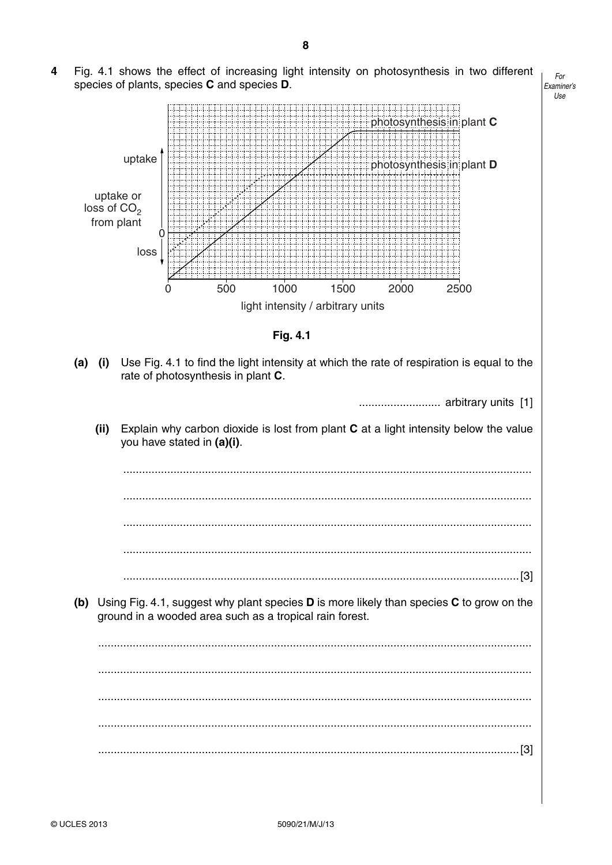4 Fig. 4.1 shows the effect of increasing light intensity on photosynthesis in two different species of plants, species C and species D.

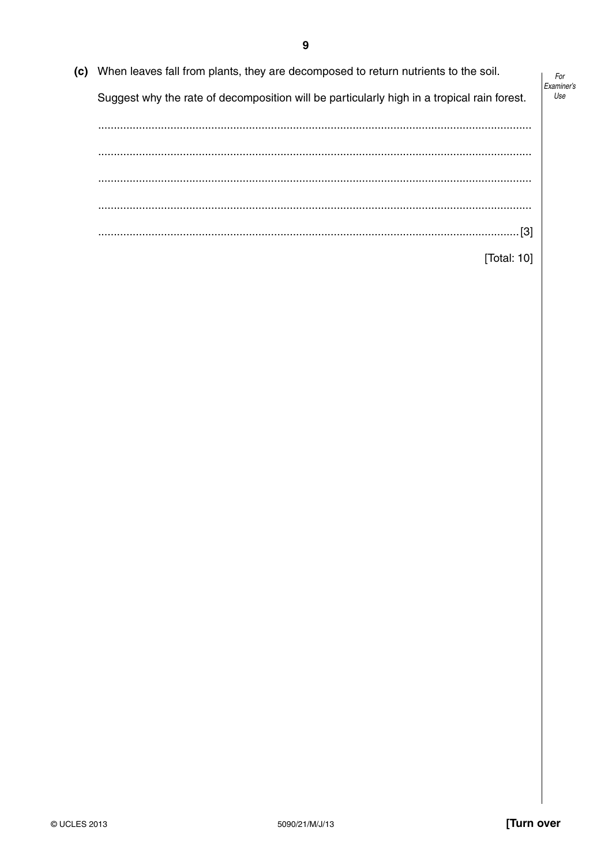(c) When leaves fall from plants, they are decomposed to return nutrients to the soil. For Examiner's Use Suggest why the rate of decomposition will be particularly high in a tropical rain forest. [Total: 10]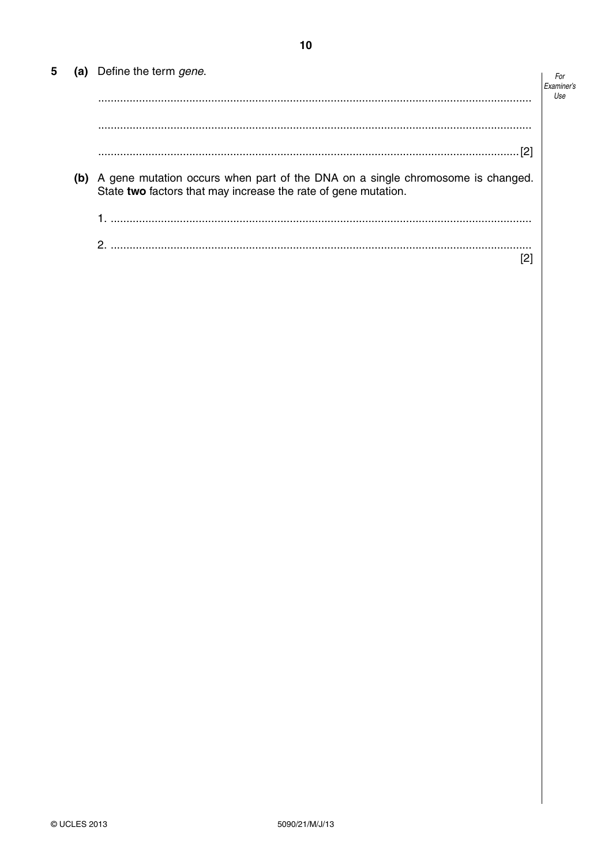| 5 | (a) Define the term gene.                                                                                                                            | For |
|---|------------------------------------------------------------------------------------------------------------------------------------------------------|-----|
|   |                                                                                                                                                      | Use |
|   |                                                                                                                                                      |     |
|   | [2]                                                                                                                                                  |     |
|   | (b) A gene mutation occurs when part of the DNA on a single chromosome is changed.<br>State two factors that may increase the rate of gene mutation. |     |
|   |                                                                                                                                                      |     |
|   |                                                                                                                                                      |     |
|   | ົດ                                                                                                                                                   |     |

 $10$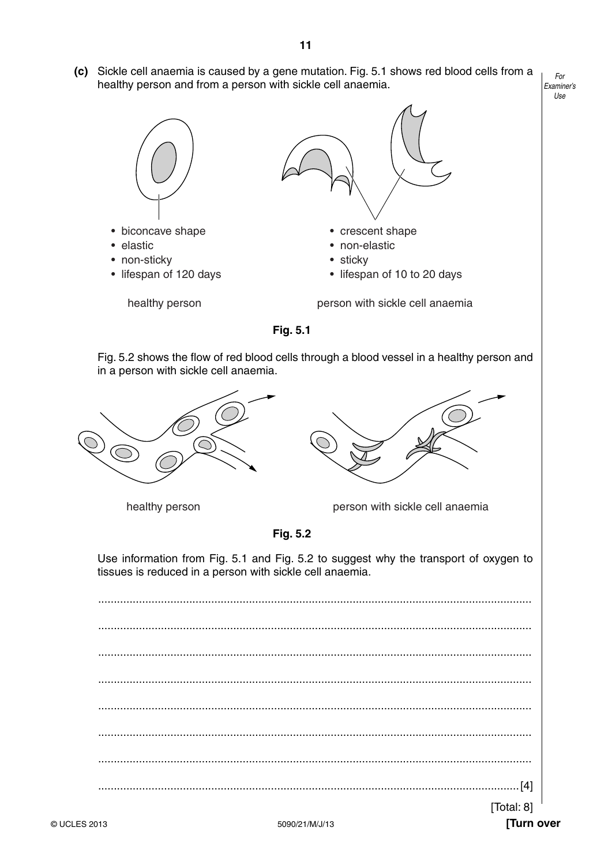*Examiner's*  **(c)** Sickle cell anaemia is caused by a gene mutation. Fig. 5.1 shows red blood cells from a healthy person and from a person with sickle cell anaemia.





Fig. 5.2 shows the flow of red blood cells through a blood vessel in a healthy person and in a person with sickle cell anaemia.





**Fig. 5.2**

Use information from Fig. 5.1 and Fig. 5.2 to suggest why the transport of oxygen to tissues is reduced in a person with sickle cell anaemia.

 .......................................................................................................................................... .......................................................................................................................................... .......................................................................................................................................... .......................................................................................................................................... .......................................................................................................................................... .......................................................................................................................................... .......................................................................................................................................... ......................................................................................................................................[4] [Total: 8] *For*

*Use*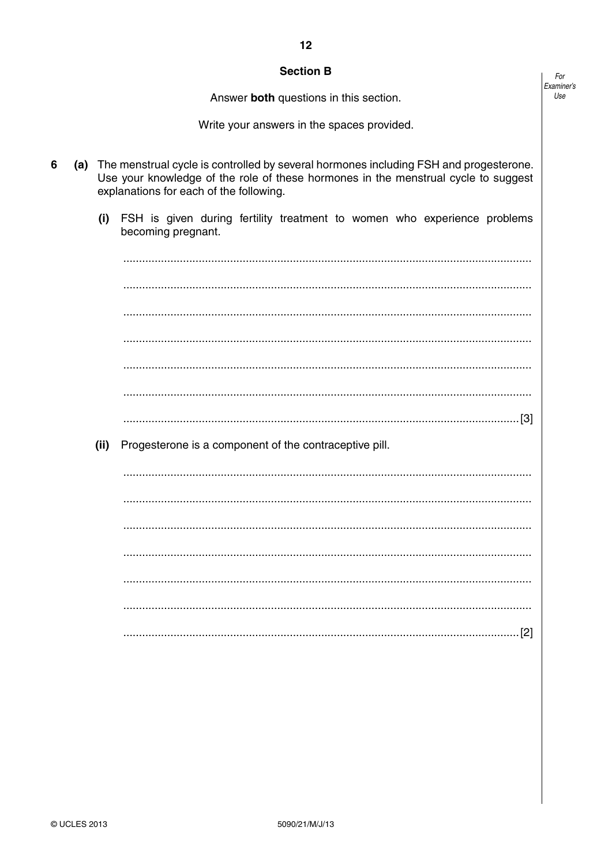## **Section B**

Answer both questions in this section.

Write your answers in the spaces provided.

- 6 (a) The menstrual cycle is controlled by several hormones including FSH and progesterone. Use vour knowledge of the role of these hormones in the menstrual cycle to suggest explanations for each of the following.
	- $(i)$ FSH is given during fertility treatment to women who experience problems becoming pregnant.

Progesterone is a component of the contraceptive pill.

 $(ii)$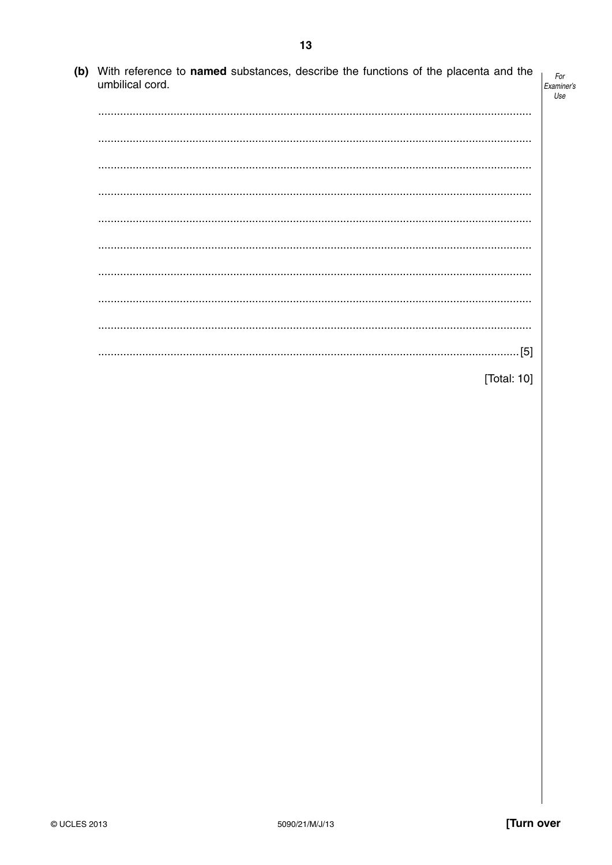(b) With reference to named substances, describe the functions of the placenta and the umbilical cord. 

 $13$ 

| [Total: 10] |
|-------------|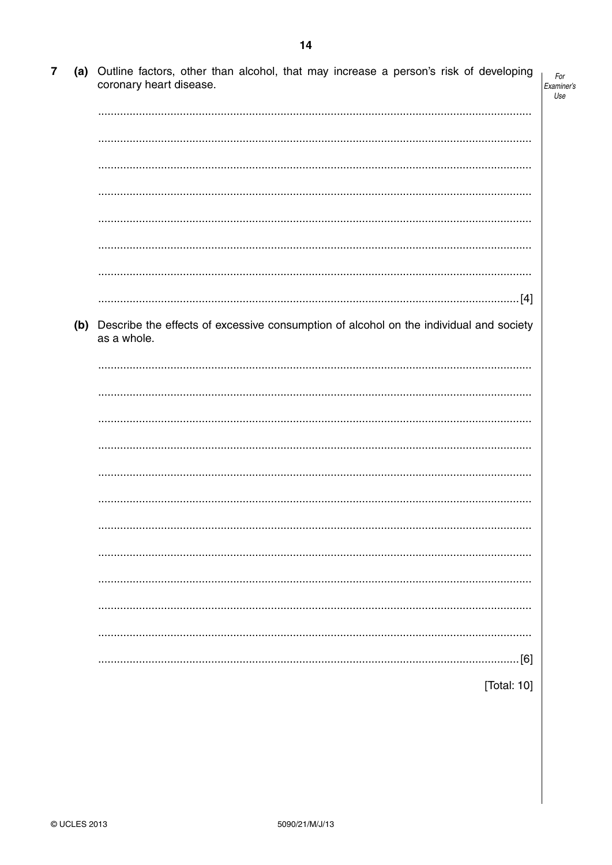| $\overline{\mathbf{7}}$ | (a) Outline factors, other than alcohol, that may increase a person's risk of developing<br>coronary heart disease. | For<br>Examiner's<br>Use |
|-------------------------|---------------------------------------------------------------------------------------------------------------------|--------------------------|
|                         |                                                                                                                     |                          |
|                         |                                                                                                                     |                          |
|                         |                                                                                                                     |                          |
|                         |                                                                                                                     |                          |
|                         |                                                                                                                     |                          |
|                         |                                                                                                                     |                          |
|                         |                                                                                                                     |                          |
|                         |                                                                                                                     |                          |
|                         | (b) Describe the effects of excessive consumption of alcohol on the individual and society<br>as a whole.           |                          |
|                         |                                                                                                                     |                          |
|                         |                                                                                                                     |                          |
|                         |                                                                                                                     |                          |
|                         |                                                                                                                     |                          |
|                         |                                                                                                                     |                          |
|                         |                                                                                                                     |                          |
|                         |                                                                                                                     |                          |
|                         |                                                                                                                     |                          |
|                         |                                                                                                                     |                          |
|                         |                                                                                                                     |                          |
|                         |                                                                                                                     |                          |
|                         | [6]                                                                                                                 |                          |
|                         | [Total: 10]                                                                                                         |                          |

 $14$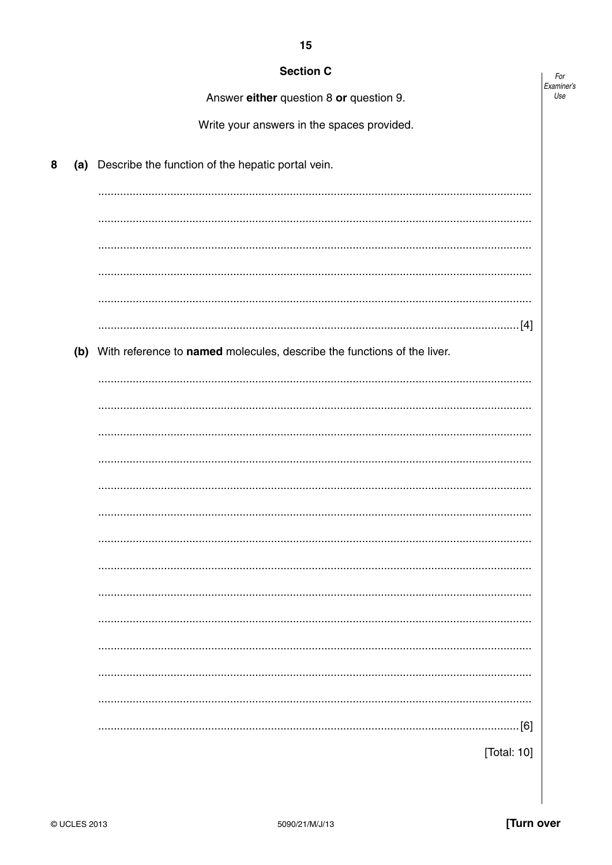|   | <b>Section C</b> |                                                                             | For               |
|---|------------------|-----------------------------------------------------------------------------|-------------------|
|   |                  | Answer either question 8 or question 9.                                     | Examiner's<br>Use |
|   |                  | Write your answers in the spaces provided.                                  |                   |
| 8 |                  | (a) Describe the function of the hepatic portal vein.                       |                   |
|   |                  |                                                                             |                   |
|   |                  |                                                                             |                   |
|   |                  |                                                                             |                   |
|   |                  |                                                                             |                   |
|   |                  |                                                                             |                   |
|   |                  |                                                                             |                   |
|   |                  | (b) With reference to named molecules, describe the functions of the liver. |                   |
|   |                  |                                                                             |                   |
|   |                  |                                                                             |                   |
|   |                  |                                                                             |                   |
|   |                  |                                                                             |                   |
|   |                  |                                                                             |                   |
|   |                  |                                                                             |                   |
|   |                  |                                                                             |                   |
|   |                  |                                                                             |                   |
|   |                  |                                                                             |                   |
|   |                  |                                                                             |                   |
|   |                  |                                                                             |                   |
|   |                  |                                                                             |                   |
|   |                  |                                                                             |                   |
|   |                  | $\dots[6]$                                                                  |                   |
|   |                  | [Total: 10]                                                                 |                   |